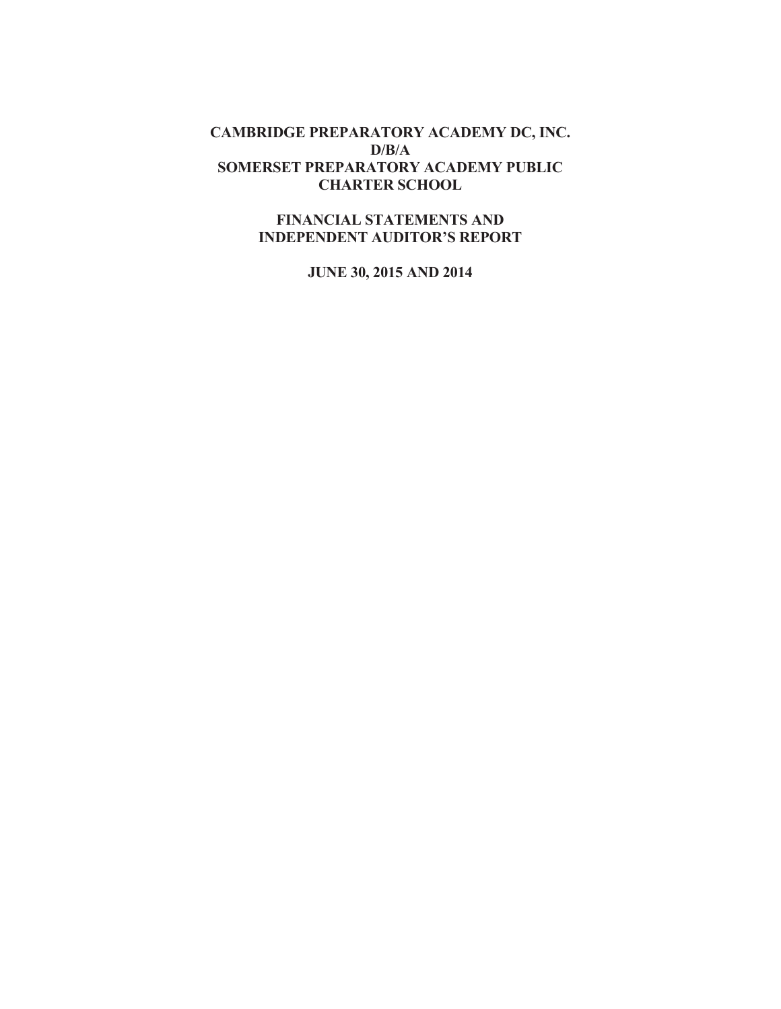# **CAMBRIDGE PREPARATORY ACADEMY DC, INC. D/B/A SOMERSET PREPARATORY ACADEMY PUBLIC CHARTER SCHOOL**

# **FINANCIAL STATEMENTS AND INDEPENDENT AUDITOR'S REPORT**

**JUNE 30, 2015 AND 2014**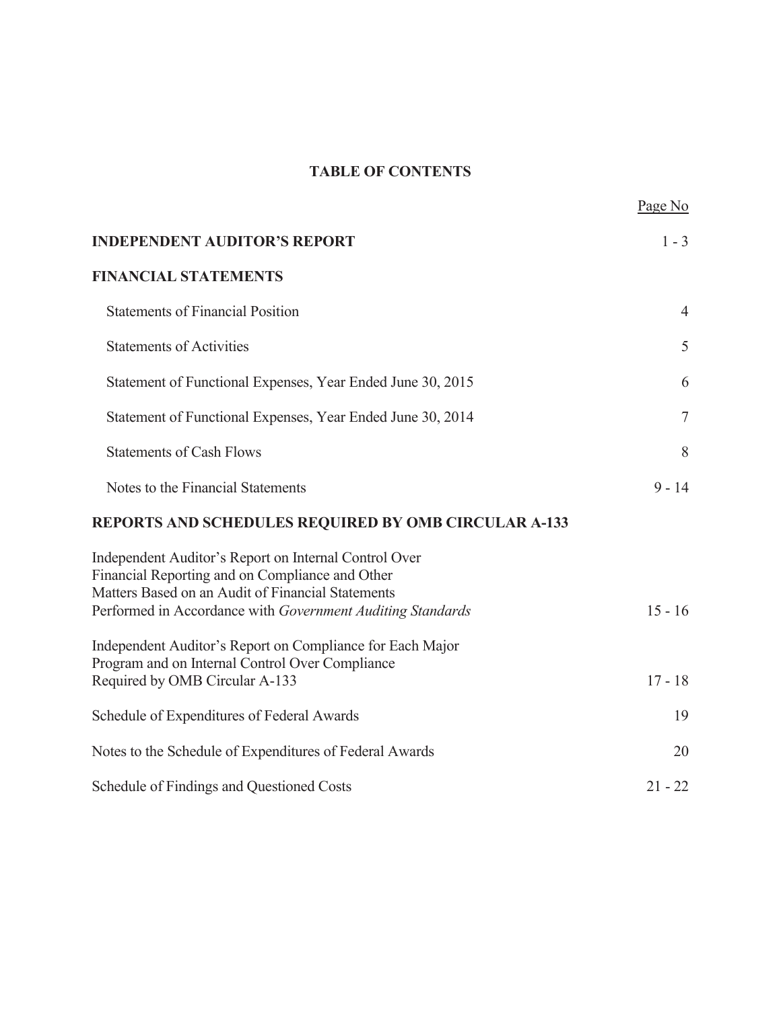# **TABLE OF CONTENTS**

|                                                                                                                                                                                                                             | Page No        |
|-----------------------------------------------------------------------------------------------------------------------------------------------------------------------------------------------------------------------------|----------------|
| <b>INDEPENDENT AUDITOR'S REPORT</b>                                                                                                                                                                                         | $1 - 3$        |
| <b>FINANCIAL STATEMENTS</b>                                                                                                                                                                                                 |                |
| <b>Statements of Financial Position</b>                                                                                                                                                                                     | 4              |
| <b>Statements of Activities</b>                                                                                                                                                                                             | 5              |
| Statement of Functional Expenses, Year Ended June 30, 2015                                                                                                                                                                  | 6              |
| Statement of Functional Expenses, Year Ended June 30, 2014                                                                                                                                                                  | $\overline{7}$ |
| <b>Statements of Cash Flows</b>                                                                                                                                                                                             | 8              |
| Notes to the Financial Statements                                                                                                                                                                                           | $9 - 14$       |
| REPORTS AND SCHEDULES REQUIRED BY OMB CIRCULAR A-133                                                                                                                                                                        |                |
| Independent Auditor's Report on Internal Control Over<br>Financial Reporting and on Compliance and Other<br>Matters Based on an Audit of Financial Statements<br>Performed in Accordance with Government Auditing Standards | $15 - 16$      |
| Independent Auditor's Report on Compliance for Each Major<br>Program and on Internal Control Over Compliance<br>Required by OMB Circular A-133                                                                              | $17 - 18$      |
| Schedule of Expenditures of Federal Awards                                                                                                                                                                                  | 19             |
| Notes to the Schedule of Expenditures of Federal Awards                                                                                                                                                                     | 20             |
| Schedule of Findings and Questioned Costs                                                                                                                                                                                   | $21 - 22$      |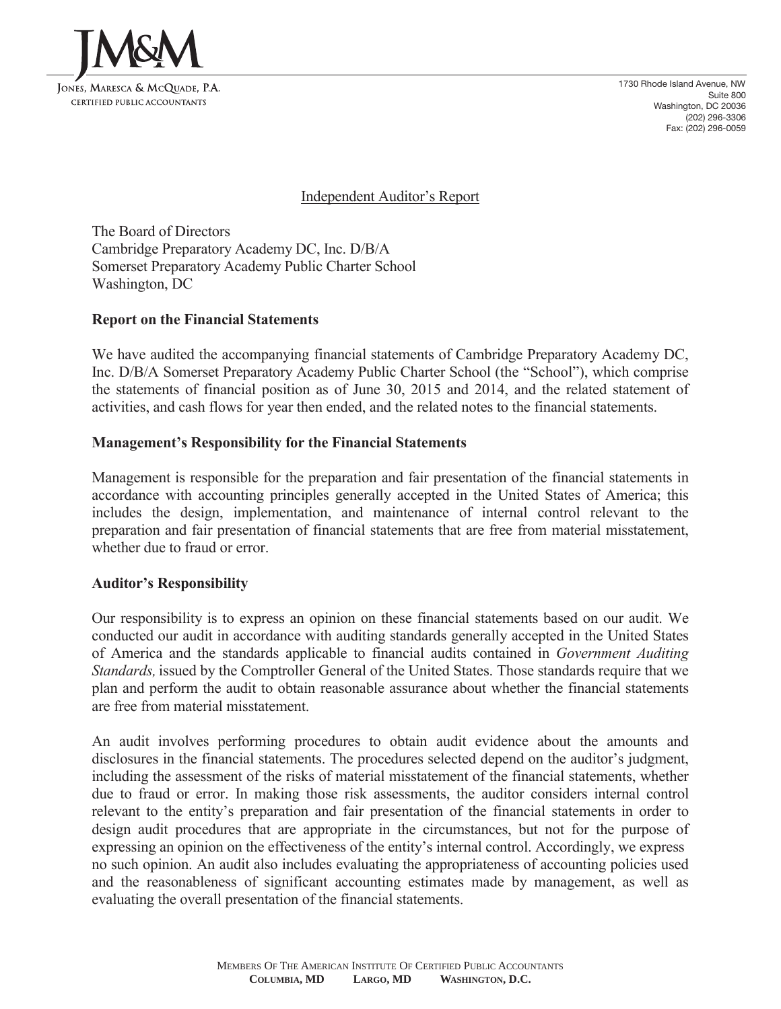

1730 Rhode Island Avenue, NW Suite 800 Washington, DC 20036 (202) 296-3306 Fax: (202) 296-0059

# Independent Auditor's Report

The Board of Directors Cambridge Preparatory Academy DC, Inc. D/B/A Somerset Preparatory Academy Public Charter School Washington, DC

## **Report on the Financial Statements**

We have audited the accompanying financial statements of Cambridge Preparatory Academy DC, Inc. D/B/A Somerset Preparatory Academy Public Charter School (the "School"), which comprise the statements of financial position as of June 30, 2015 and 2014, and the related statement of activities, and cash flows for year then ended, and the related notes to the financial statements.

#### **Management's Responsibility for the Financial Statements**

Management is responsible for the preparation and fair presentation of the financial statements in accordance with accounting principles generally accepted in the United States of America; this includes the design, implementation, and maintenance of internal control relevant to the preparation and fair presentation of financial statements that are free from material misstatement, whether due to fraud or error.

#### **Auditor's Responsibility**

Our responsibility is to express an opinion on these financial statements based on our audit. We conducted our audit in accordance with auditing standards generally accepted in the United States of America and the standards applicable to financial audits contained in *Government Auditing Standards,* issued by the Comptroller General of the United States. Those standards require that we plan and perform the audit to obtain reasonable assurance about whether the financial statements are free from material misstatement.

An audit involves performing procedures to obtain audit evidence about the amounts and disclosures in the financial statements. The procedures selected depend on the auditor's judgment, including the assessment of the risks of material misstatement of the financial statements, whether due to fraud or error. In making those risk assessments, the auditor considers internal control relevant to the entity's preparation and fair presentation of the financial statements in order to design audit procedures that are appropriate in the circumstances, but not for the purpose of expressing an opinion on the effectiveness of the entity's internal control. Accordingly, we express no such opinion. An audit also includes evaluating the appropriateness of accounting policies used and the reasonableness of significant accounting estimates made by management, as well as evaluating the overall presentation of the financial statements.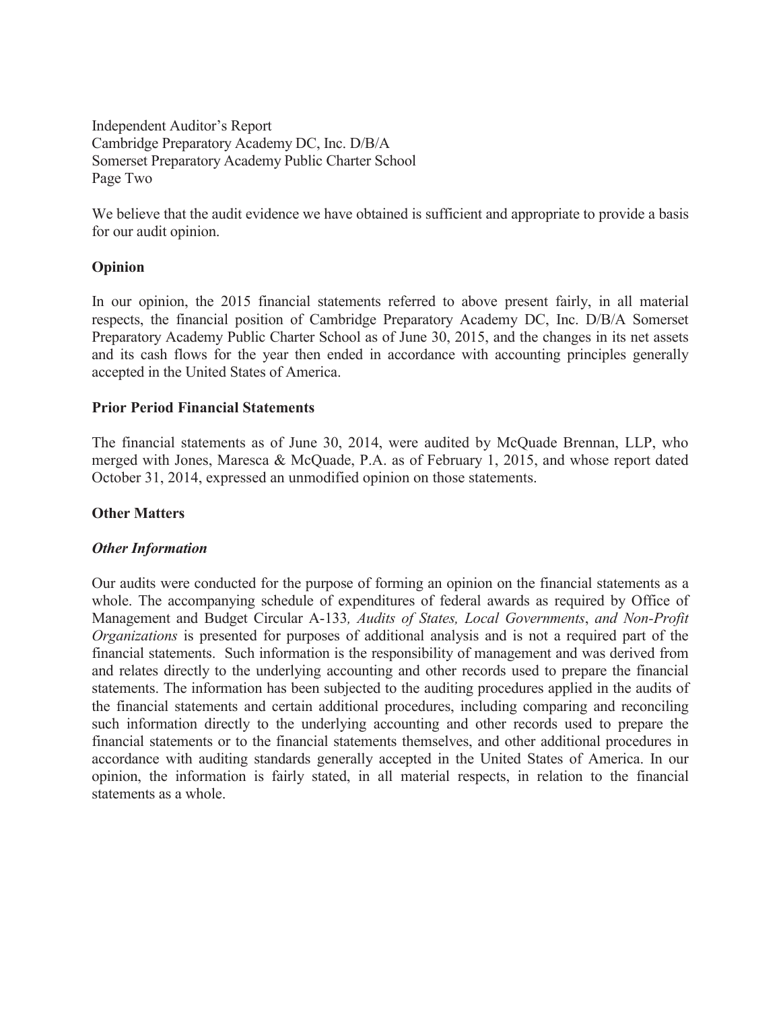Independent Auditor's Report Cambridge Preparatory Academy DC, Inc. D/B/A Somerset Preparatory Academy Public Charter School Page Two

We believe that the audit evidence we have obtained is sufficient and appropriate to provide a basis for our audit opinion.

# **Opinion**

In our opinion, the 2015 financial statements referred to above present fairly, in all material respects, the financial position of Cambridge Preparatory Academy DC, Inc. D/B/A Somerset Preparatory Academy Public Charter School as of June 30, 2015, and the changes in its net assets and its cash flows for the year then ended in accordance with accounting principles generally accepted in the United States of America.

## **Prior Period Financial Statements**

The financial statements as of June 30, 2014, were audited by McQuade Brennan, LLP, who merged with Jones, Maresca & McQuade, P.A. as of February 1, 2015, and whose report dated October 31, 2014, expressed an unmodified opinion on those statements.

## **Other Matters**

## *Other Information*

Our audits were conducted for the purpose of forming an opinion on the financial statements as a whole. The accompanying schedule of expenditures of federal awards as required by Office of Management and Budget Circular A-133*, Audits of States, Local Governments*, *and Non-Profit Organizations* is presented for purposes of additional analysis and is not a required part of the financial statements. Such information is the responsibility of management and was derived from and relates directly to the underlying accounting and other records used to prepare the financial statements. The information has been subjected to the auditing procedures applied in the audits of the financial statements and certain additional procedures, including comparing and reconciling such information directly to the underlying accounting and other records used to prepare the financial statements or to the financial statements themselves, and other additional procedures in accordance with auditing standards generally accepted in the United States of America. In our opinion, the information is fairly stated, in all material respects, in relation to the financial statements as a whole.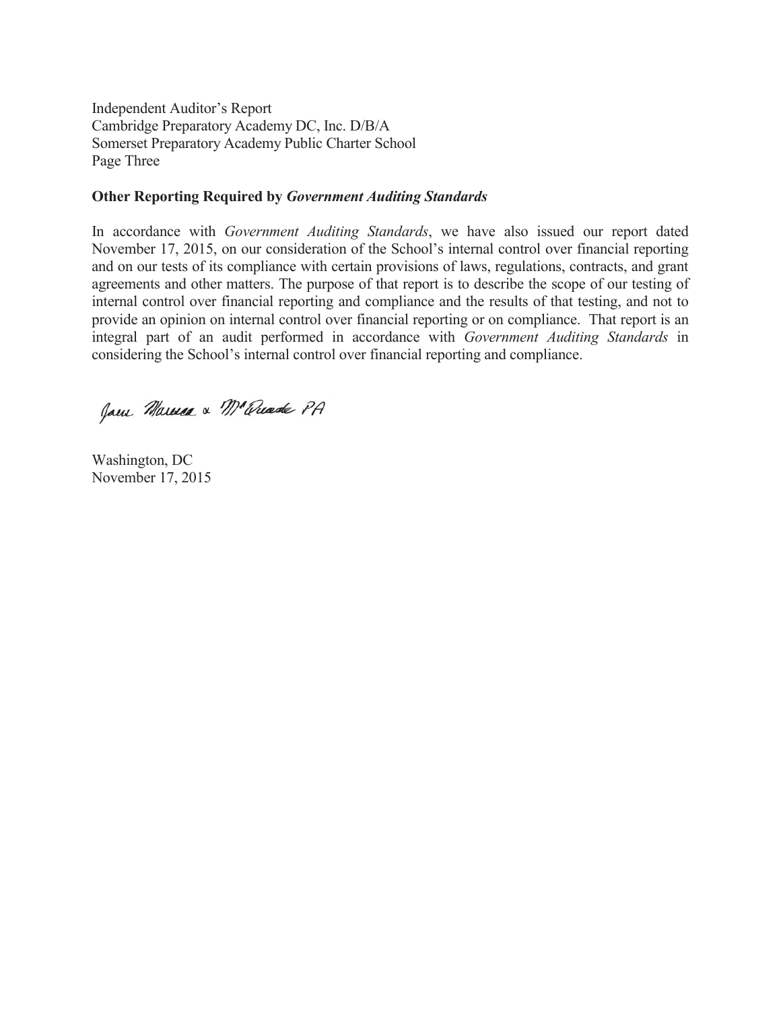Independent Auditor's Report Cambridge Preparatory Academy DC, Inc. D/B/A Somerset Preparatory Academy Public Charter School Page Three

# **Other Reporting Required by** *Government Auditing Standards*

In accordance with *Government Auditing Standards*, we have also issued our report dated November 17, 2015, on our consideration of the School's internal control over financial reporting and on our tests of its compliance with certain provisions of laws, regulations, contracts, and grant agreements and other matters. The purpose of that report is to describe the scope of our testing of internal control over financial reporting and compliance and the results of that testing, and not to provide an opinion on internal control over financial reporting or on compliance. That report is an integral part of an audit performed in accordance with *Government Auditing Standards* in considering the School's internal control over financial reporting and compliance.

Jam Marma & Mc Quade PA

Washington, DC November 17, 2015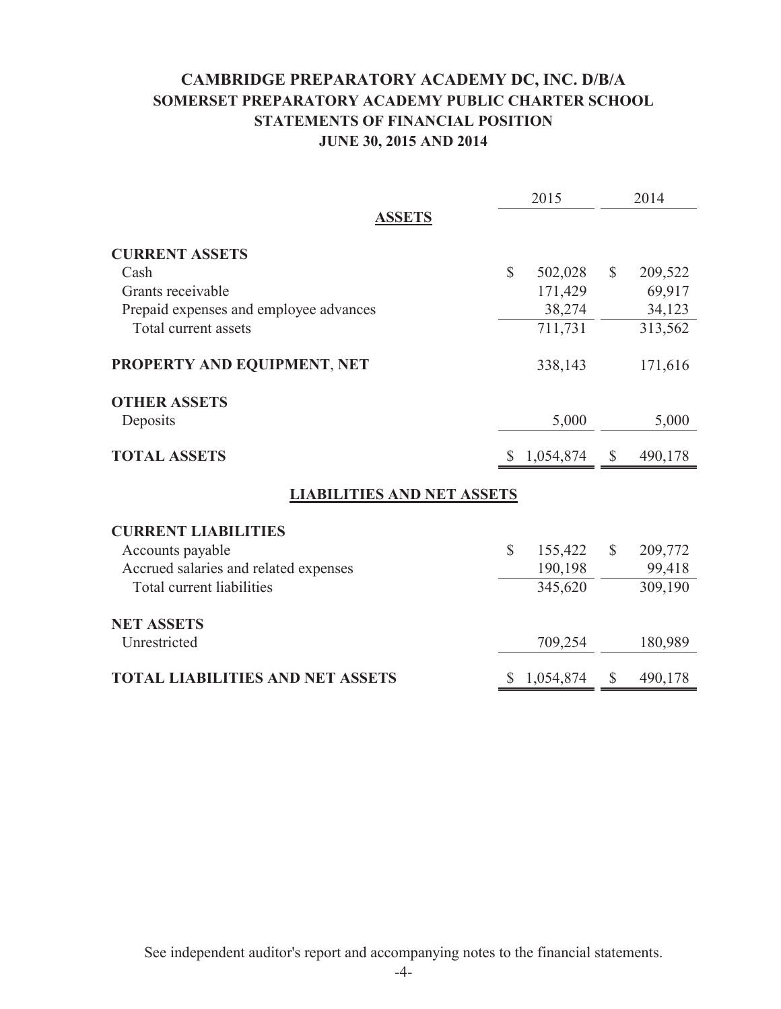# **STATEMENTS OF FINANCIAL POSITION JUNE 30, 2015 AND 2014 SOMERSET PREPARATORY ACADEMY PUBLIC CHARTER SCHOOL CAMBRIDGE PREPARATORY ACADEMY DC, INC. D/B/A**

|                                         |               | 2015      |                           | 2014    |
|-----------------------------------------|---------------|-----------|---------------------------|---------|
| <b>ASSETS</b>                           |               |           |                           |         |
| <b>CURRENT ASSETS</b>                   |               |           |                           |         |
| Cash                                    | $\mathbb{S}$  | 502,028   | $\mathbb{S}$              | 209,522 |
| Grants receivable                       |               | 171,429   |                           | 69,917  |
| Prepaid expenses and employee advances  |               | 38,274    |                           | 34,123  |
| Total current assets                    |               | 711,731   |                           | 313,562 |
| PROPERTY AND EQUIPMENT, NET             |               | 338,143   |                           | 171,616 |
| <b>OTHER ASSETS</b>                     |               |           |                           |         |
| Deposits                                |               | 5,000     |                           | 5,000   |
| <b>TOTAL ASSETS</b>                     | S             | 1,054,874 | $\boldsymbol{\mathsf{S}}$ | 490,178 |
| <b>LIABILITIES AND NET ASSETS</b>       |               |           |                           |         |
| <b>CURRENT LIABILITIES</b>              |               |           |                           |         |
| Accounts payable                        | $\mathcal{S}$ | 155,422   | $\mathbb{S}$              | 209,772 |
| Accrued salaries and related expenses   |               | 190,198   |                           | 99,418  |
| Total current liabilities               |               | 345,620   |                           | 309,190 |
| <b>NET ASSETS</b>                       |               |           |                           |         |
| Unrestricted                            |               | 709,254   |                           | 180,989 |
| <b>TOTAL LIABILITIES AND NET ASSETS</b> | S.            | 1,054,874 | \$                        | 490,178 |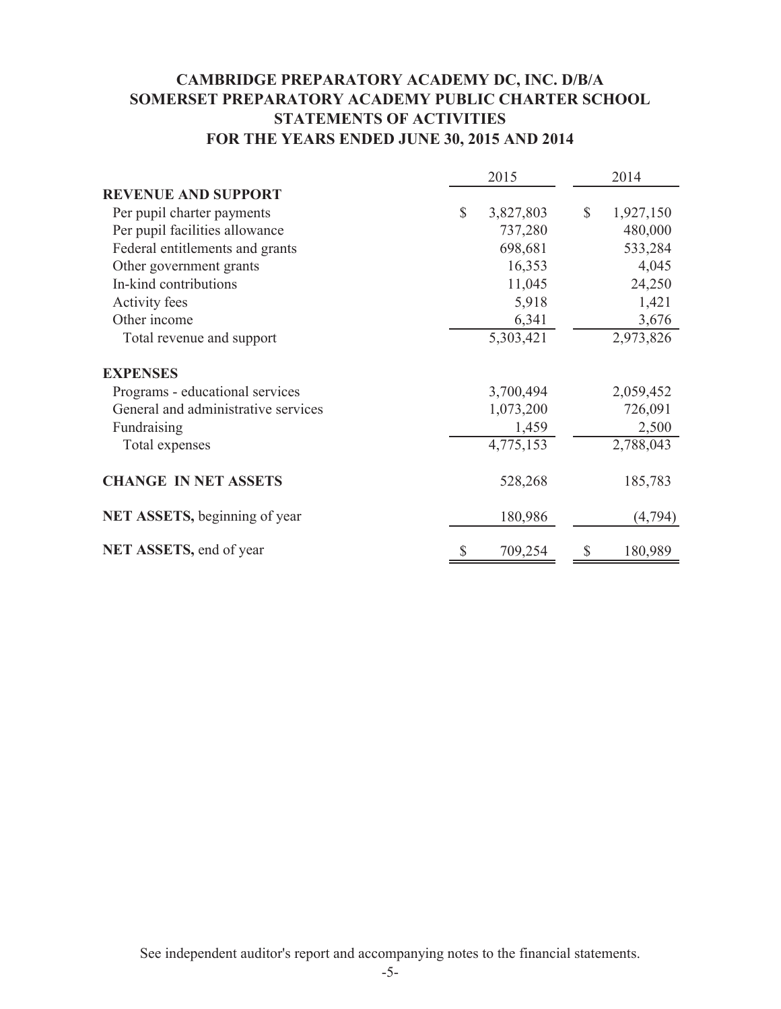# **CAMBRIDGE PREPARATORY ACADEMY DC, INC. D/B/A STATEMENTS OF ACTIVITIES FOR THE YEARS ENDED JUNE 30, 2015 AND 2014 SOMERSET PREPARATORY ACADEMY PUBLIC CHARTER SCHOOL**

|                                     |              | 2015      |              | 2014      |
|-------------------------------------|--------------|-----------|--------------|-----------|
| <b>REVENUE AND SUPPORT</b>          |              |           |              |           |
| Per pupil charter payments          | $\mathbb{S}$ | 3,827,803 | $\mathbb{S}$ | 1,927,150 |
| Per pupil facilities allowance      |              | 737,280   |              | 480,000   |
| Federal entitlements and grants     |              | 698,681   |              | 533,284   |
| Other government grants             |              | 16,353    |              | 4,045     |
| In-kind contributions               |              | 11,045    |              | 24,250    |
| Activity fees                       |              | 5,918     |              | 1,421     |
| Other income                        |              | 6,341     |              | 3,676     |
| Total revenue and support           |              | 5,303,421 |              | 2,973,826 |
| <b>EXPENSES</b>                     |              |           |              |           |
| Programs - educational services     |              | 3,700,494 |              | 2,059,452 |
| General and administrative services |              | 1,073,200 |              | 726,091   |
| Fundraising                         |              | 1,459     |              | 2,500     |
| Total expenses                      |              | 4,775,153 |              | 2,788,043 |
| <b>CHANGE IN NET ASSETS</b>         |              | 528,268   |              | 185,783   |
| NET ASSETS, beginning of year       |              | 180,986   |              | (4, 794)  |
| NET ASSETS, end of year             |              | 709,254   | \$           | 180,989   |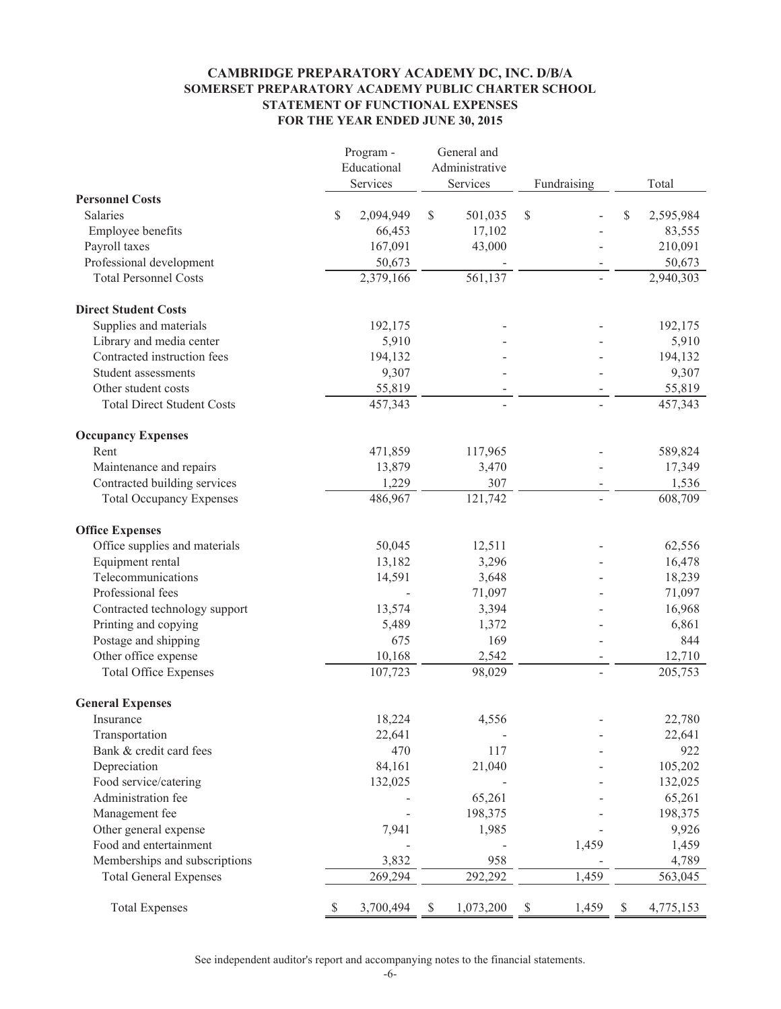#### **SOMERSET PREPARATORY ACADEMY PUBLIC CHARTER SCHOOL STATEMENT OF FUNCTIONAL EXPENSES FOR THE YEAR ENDED JUNE 30, 2015 CAMBRIDGE PREPARATORY ACADEMY DC, INC. D/B/A**

|                                                                 | Program -        | General and     |                       |                           |                  |
|-----------------------------------------------------------------|------------------|-----------------|-----------------------|---------------------------|------------------|
|                                                                 | Educational      | Administrative  |                       |                           |                  |
| <b>Personnel Costs</b>                                          | Services         | Services        | Fundraising           |                           | Total            |
| Salaries                                                        | \$<br>2,094,949  | \$<br>501,035   | \$                    | S                         | 2,595,984        |
| Employee benefits                                               | 66,453           | 17,102          |                       |                           | 83,555           |
|                                                                 |                  |                 |                       |                           |                  |
| Payroll taxes                                                   | 167,091          | 43,000          |                       |                           | 210,091          |
| Professional development<br><b>Total Personnel Costs</b>        | 50,673           |                 |                       |                           | 50,673           |
|                                                                 | 2,379,166        | 561,137         |                       |                           | 2,940,303        |
| <b>Direct Student Costs</b>                                     |                  |                 |                       |                           |                  |
| Supplies and materials                                          | 192,175          |                 |                       |                           | 192,175          |
| Library and media center                                        | 5,910            |                 |                       |                           | 5,910            |
| Contracted instruction fees                                     | 194,132          |                 |                       |                           | 194,132          |
| Student assessments                                             | 9,307            |                 |                       |                           | 9,307            |
| Other student costs                                             | 55,819           |                 |                       |                           | 55,819           |
| <b>Total Direct Student Costs</b>                               | 457,343          |                 |                       |                           | 457,343          |
|                                                                 |                  |                 |                       |                           |                  |
| <b>Occupancy Expenses</b>                                       |                  |                 |                       |                           |                  |
| Rent                                                            | 471,859          | 117,965         |                       |                           | 589,824          |
| Maintenance and repairs                                         | 13,879           | 3,470           |                       |                           | 17,349           |
| Contracted building services<br><b>Total Occupancy Expenses</b> | 1,229<br>486,967 | 307<br>121,742  |                       |                           | 1,536<br>608,709 |
|                                                                 |                  |                 |                       |                           |                  |
| <b>Office Expenses</b>                                          |                  |                 |                       |                           |                  |
| Office supplies and materials                                   | 50,045           | 12,511          |                       |                           | 62,556           |
| Equipment rental                                                | 13,182           | 3,296           |                       |                           | 16,478           |
| Telecommunications                                              | 14,591           | 3,648           |                       |                           | 18,239           |
| Professional fees                                               |                  | 71,097          |                       |                           | 71,097           |
| Contracted technology support                                   | 13,574           | 3,394           |                       |                           | 16,968           |
| Printing and copying                                            | 5,489            | 1,372           |                       |                           | 6,861            |
| Postage and shipping                                            | 675              | 169             |                       |                           | 844              |
| Other office expense                                            | 10,168           | 2,542           |                       |                           | 12,710           |
| <b>Total Office Expenses</b>                                    | 107,723          | 98,029          |                       |                           | 205,753          |
| <b>General Expenses</b>                                         |                  |                 |                       |                           |                  |
| Insurance                                                       | 18,224           | 4,556           |                       |                           | 22,780           |
| Transportation                                                  | 22,641           |                 |                       |                           | 22,641           |
| Bank & credit card fees                                         | 470              | 117             |                       |                           | 922              |
| Depreciation                                                    | 84,161           | 21,040          |                       |                           | 105,202          |
| Food service/catering                                           | 132,025          |                 |                       |                           | 132,025          |
| Administration fee                                              |                  | 65,261          |                       |                           | 65,261           |
| Management fee                                                  |                  | 198,375         |                       |                           | 198,375          |
| Other general expense                                           | 7,941            | 1,985           |                       |                           | 9,926            |
| Food and entertainment                                          |                  |                 | 1,459                 |                           | 1,459            |
| Memberships and subscriptions                                   | 3,832            | 958             |                       |                           | 4,789            |
| <b>Total General Expenses</b>                                   | 269,294          | 292,292         | 1,459                 |                           | 563,045          |
|                                                                 |                  |                 |                       |                           |                  |
| <b>Total Expenses</b>                                           | \$<br>3,700,494  | \$<br>1,073,200 | $\mathbb{S}$<br>1,459 | $\boldsymbol{\mathsf{S}}$ | 4,775,153        |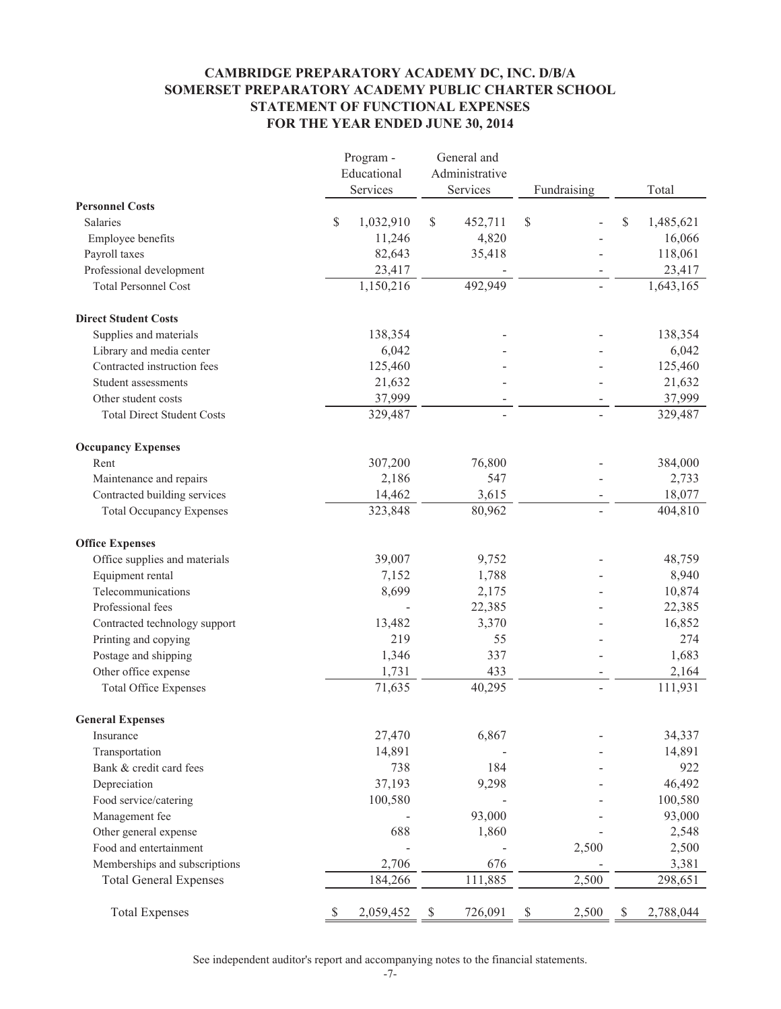## **SOMERSET PREPARATORY ACADEMY PUBLIC CHARTER SCHOOL STATEMENT OF FUNCTIONAL EXPENSES FOR THE YEAR ENDED JUNE 30, 2014 CAMBRIDGE PREPARATORY ACADEMY DC, INC. D/B/A**

|                                   | Program -<br>Educational<br>Services |                                             | General and<br>Administrative<br>Services | Fundraising   | Total           |
|-----------------------------------|--------------------------------------|---------------------------------------------|-------------------------------------------|---------------|-----------------|
| <b>Personnel Costs</b>            |                                      |                                             |                                           |               |                 |
| Salaries                          | \$<br>1,032,910                      | \$                                          | 452,711                                   | \$            | \$<br>1,485,621 |
| Employee benefits                 | 11,246                               |                                             | 4,820                                     |               | 16,066          |
| Payroll taxes                     | 82,643                               |                                             | 35,418                                    |               | 118,061         |
| Professional development          | 23,417                               |                                             |                                           |               | 23,417          |
| <b>Total Personnel Cost</b>       | 1,150,216                            |                                             | 492,949                                   |               | 1,643,165       |
| <b>Direct Student Costs</b>       |                                      |                                             |                                           |               |                 |
| Supplies and materials            | 138,354                              |                                             |                                           |               | 138,354         |
| Library and media center          | 6,042                                |                                             |                                           |               | 6,042           |
| Contracted instruction fees       | 125,460                              |                                             |                                           |               | 125,460         |
| Student assessments               | 21,632                               |                                             |                                           |               | 21,632          |
| Other student costs               | 37,999                               |                                             |                                           |               | 37,999          |
| <b>Total Direct Student Costs</b> | 329,487                              |                                             |                                           |               | 329,487         |
| <b>Occupancy Expenses</b>         |                                      |                                             |                                           |               |                 |
| Rent                              | 307,200                              |                                             | 76,800                                    |               | 384,000         |
| Maintenance and repairs           | 2,186                                |                                             | 547                                       |               | 2,733           |
| Contracted building services      | 14,462                               |                                             | 3,615                                     |               | 18,077          |
| <b>Total Occupancy Expenses</b>   | 323,848                              |                                             | 80,962                                    |               | 404,810         |
| <b>Office Expenses</b>            |                                      |                                             |                                           |               |                 |
| Office supplies and materials     | 39,007                               |                                             | 9,752                                     |               | 48,759          |
| Equipment rental                  | 7,152                                |                                             | 1,788                                     |               | 8,940           |
| Telecommunications                | 8,699                                |                                             | 2,175                                     |               | 10,874          |
| Professional fees                 |                                      |                                             | 22,385                                    |               | 22,385          |
| Contracted technology support     | 13,482                               |                                             | 3,370                                     |               | 16,852          |
| Printing and copying              | 219                                  |                                             | 55                                        |               | 274             |
| Postage and shipping              | 1,346                                |                                             | 337                                       |               | 1,683           |
| Other office expense              | 1,731                                |                                             | 433                                       |               | 2,164           |
| <b>Total Office Expenses</b>      | 71,635                               |                                             | 40,295                                    |               | 111,931         |
| <b>General Expenses</b>           |                                      |                                             |                                           |               |                 |
| Insurance                         | 27,470                               |                                             | 6,867                                     |               | 34,337          |
| Transportation                    | 14,891                               |                                             |                                           |               | 14,891          |
| Bank & credit card fees           | 738                                  |                                             | 184                                       |               | 922             |
| Depreciation                      | 37,193                               |                                             | 9,298                                     |               | 46,492          |
| Food service/catering             | 100,580                              |                                             |                                           |               | 100,580         |
| Management fee                    |                                      |                                             | 93,000                                    |               | 93,000          |
| Other general expense             | 688                                  |                                             | 1,860                                     |               | 2,548           |
| Food and entertainment            |                                      |                                             |                                           | 2,500         | 2,500           |
| Memberships and subscriptions     | 2,706                                |                                             | 676                                       |               | 3,381           |
| <b>Total General Expenses</b>     | 184,266                              |                                             | 111,885                                   | 2,500         | 298,651         |
| <b>Total Expenses</b>             | \$<br>2,059,452                      | $\mathbb{S}% _{n}^{X\rightarrow\mathbb{R}}$ | 726,091                                   | $\$$<br>2,500 | \$<br>2,788,044 |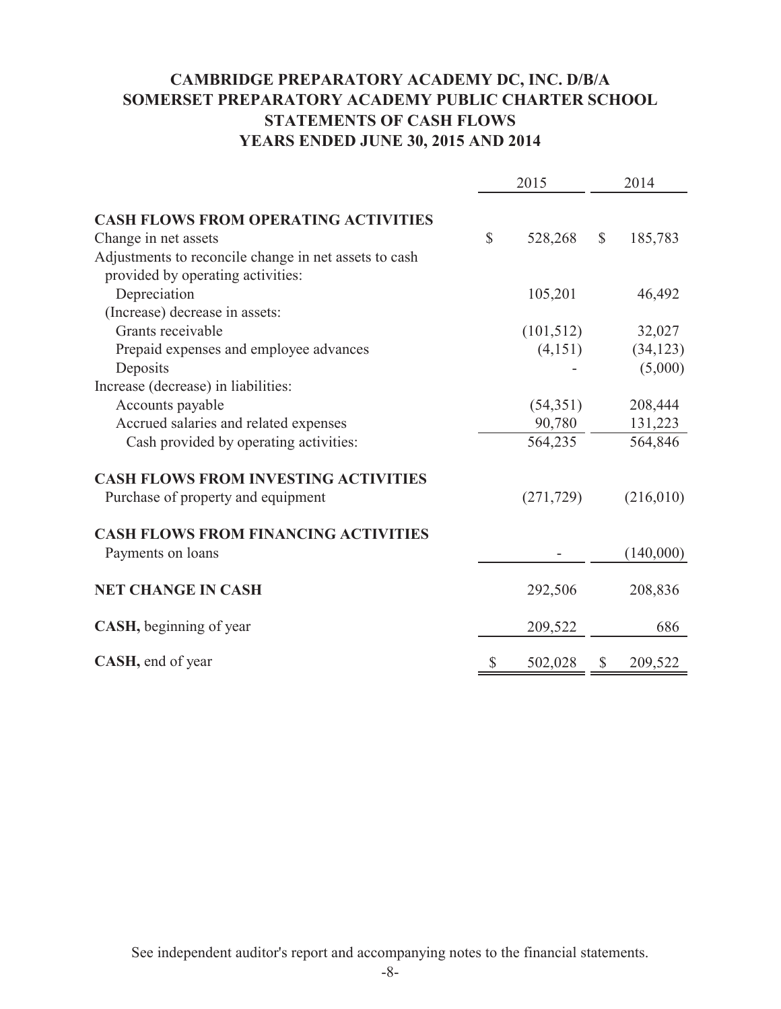# **SOMERSET PREPARATORY ACADEMY PUBLIC CHARTER SCHOOL STATEMENTS OF CASH FLOWS YEARS ENDED JUNE 30, 2015 AND 2014 CAMBRIDGE PREPARATORY ACADEMY DC, INC. D/B/A**

|                                                                                            | 2015         |            | 2014         |           |
|--------------------------------------------------------------------------------------------|--------------|------------|--------------|-----------|
| <b>CASH FLOWS FROM OPERATING ACTIVITIES</b>                                                |              |            |              |           |
| Change in net assets                                                                       | $\mathbb{S}$ | 528,268    | $\mathbb{S}$ | 185,783   |
| Adjustments to reconcile change in net assets to cash<br>provided by operating activities: |              |            |              |           |
| Depreciation                                                                               |              | 105,201    |              | 46,492    |
| (Increase) decrease in assets:                                                             |              |            |              |           |
| Grants receivable                                                                          |              | (101, 512) |              | 32,027    |
| Prepaid expenses and employee advances                                                     |              | (4,151)    |              | (34, 123) |
| Deposits                                                                                   |              |            |              | (5,000)   |
| Increase (decrease) in liabilities:                                                        |              |            |              |           |
| Accounts payable                                                                           |              | (54, 351)  |              | 208,444   |
| Accrued salaries and related expenses                                                      |              | 90,780     |              | 131,223   |
| Cash provided by operating activities:                                                     |              | 564,235    |              | 564,846   |
| <b>CASH FLOWS FROM INVESTING ACTIVITIES</b><br>Purchase of property and equipment          |              | (271, 729) |              | (216,010) |
| <b>CASH FLOWS FROM FINANCING ACTIVITIES</b><br>Payments on loans                           |              |            |              | (140,000) |
| <b>NET CHANGE IN CASH</b>                                                                  |              | 292,506    |              | 208,836   |
| CASH, beginning of year                                                                    |              | 209,522    |              | 686       |
| CASH, end of year                                                                          | \$           | 502,028    | \$           | 209,522   |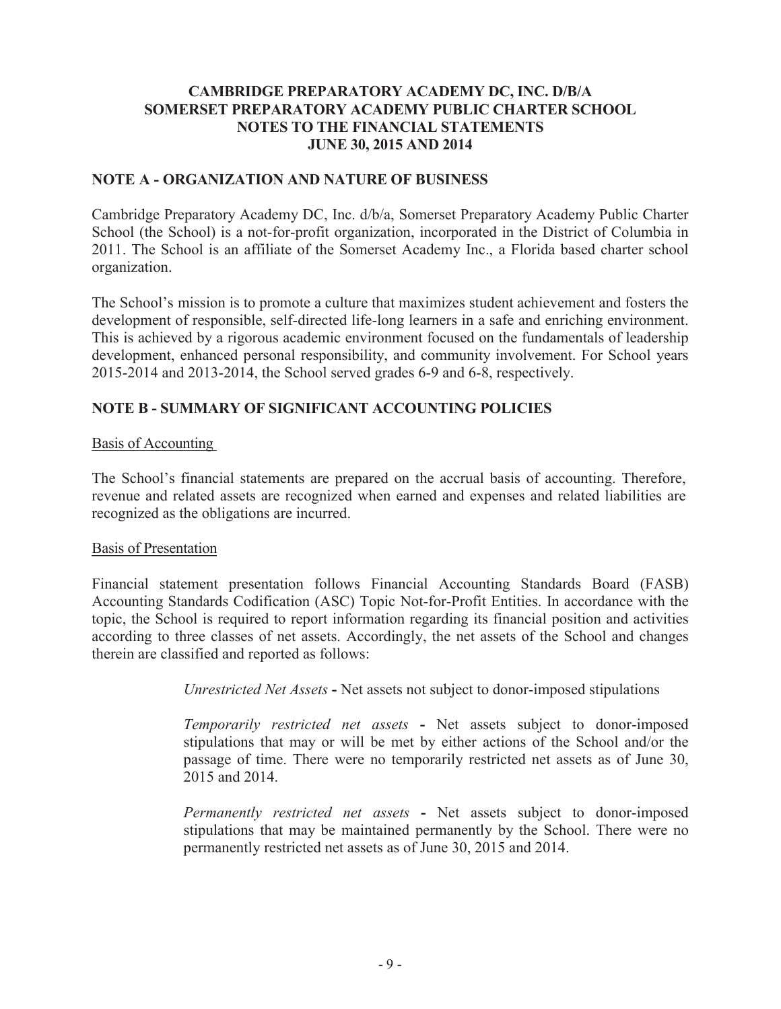# **NOTE A - ORGANIZATION AND NATURE OF BUSINESS**

Cambridge Preparatory Academy DC, Inc. d/b/a, Somerset Preparatory Academy Public Charter School (the School) is a not-for-profit organization, incorporated in the District of Columbia in 2011. The School is an affiliate of the Somerset Academy Inc., a Florida based charter school organization.

The School's mission is to promote a culture that maximizes student achievement and fosters the development of responsible, self-directed life-long learners in a safe and enriching environment. This is achieved by a rigorous academic environment focused on the fundamentals of leadership development, enhanced personal responsibility, and community involvement. For School years 2015-2014 and 2013-2014, the School served grades 6-9 and 6-8, respectively.

# **NOTE B - SUMMARY OF SIGNIFICANT ACCOUNTING POLICIES**

## Basis of Accounting

The School's financial statements are prepared on the accrual basis of accounting. Therefore, revenue and related assets are recognized when earned and expenses and related liabilities are recognized as the obligations are incurred.

## Basis of Presentation

Financial statement presentation follows Financial Accounting Standards Board (FASB) Accounting Standards Codification (ASC) Topic Not-for-Profit Entities. In accordance with the topic, the School is required to report information regarding its financial position and activities according to three classes of net assets. Accordingly, the net assets of the School and changes therein are classified and reported as follows:

*Unrestricted Net Assets* **-** Net assets not subject to donor-imposed stipulations

*Temporarily restricted net assets* **-** Net assets subject to donor-imposed stipulations that may or will be met by either actions of the School and/or the passage of time. There were no temporarily restricted net assets as of June 30, 2015 and 2014.

*Permanently restricted net assets* **-** Net assets subject to donor-imposed stipulations that may be maintained permanently by the School. There were no permanently restricted net assets as of June 30, 2015 and 2014.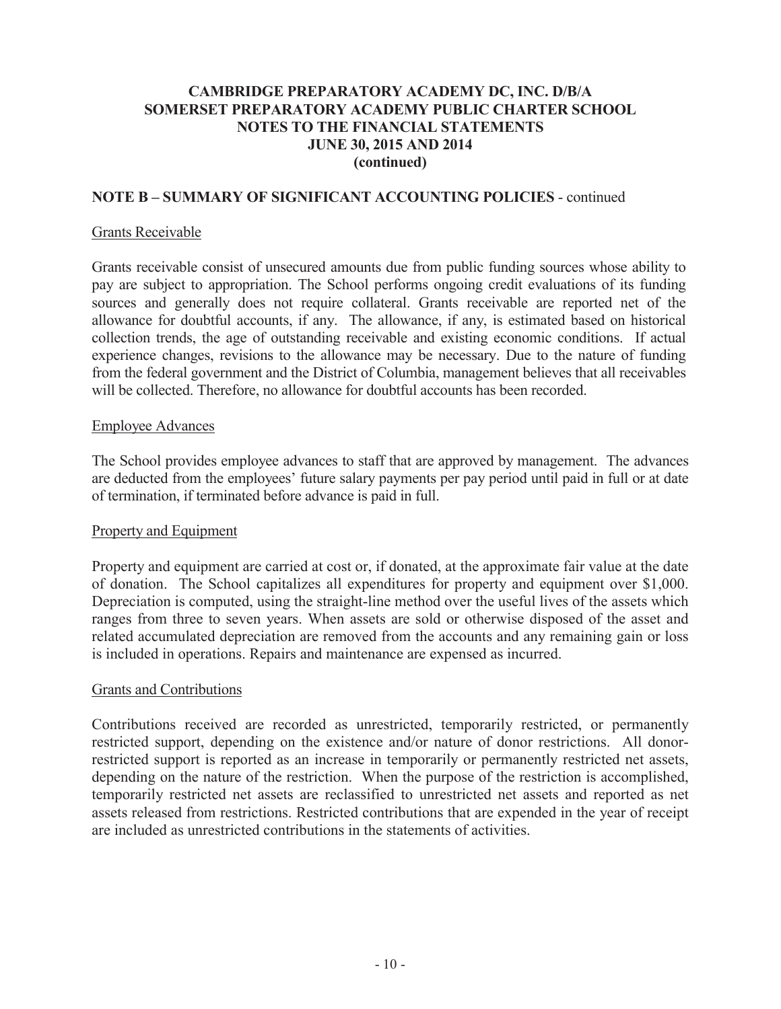# **NOTE B – SUMMARY OF SIGNIFICANT ACCOUNTING POLICIES** - continued

#### Grants Receivable

Grants receivable consist of unsecured amounts due from public funding sources whose ability to pay are subject to appropriation. The School performs ongoing credit evaluations of its funding sources and generally does not require collateral. Grants receivable are reported net of the allowance for doubtful accounts, if any. The allowance, if any, is estimated based on historical collection trends, the age of outstanding receivable and existing economic conditions. If actual experience changes, revisions to the allowance may be necessary. Due to the nature of funding from the federal government and the District of Columbia, management believes that all receivables will be collected. Therefore, no allowance for doubtful accounts has been recorded.

#### Employee Advances

The School provides employee advances to staff that are approved by management. The advances are deducted from the employees' future salary payments per pay period until paid in full or at date of termination, if terminated before advance is paid in full.

#### Property and Equipment

Property and equipment are carried at cost or, if donated, at the approximate fair value at the date of donation. The School capitalizes all expenditures for property and equipment over \$1,000. Depreciation is computed, using the straight-line method over the useful lives of the assets which ranges from three to seven years. When assets are sold or otherwise disposed of the asset and related accumulated depreciation are removed from the accounts and any remaining gain or loss is included in operations. Repairs and maintenance are expensed as incurred.

## Grants and Contributions

Contributions received are recorded as unrestricted, temporarily restricted, or permanently restricted support, depending on the existence and/or nature of donor restrictions. All donorrestricted support is reported as an increase in temporarily or permanently restricted net assets, depending on the nature of the restriction. When the purpose of the restriction is accomplished, temporarily restricted net assets are reclassified to unrestricted net assets and reported as net assets released from restrictions. Restricted contributions that are expended in the year of receipt are included as unrestricted contributions in the statements of activities.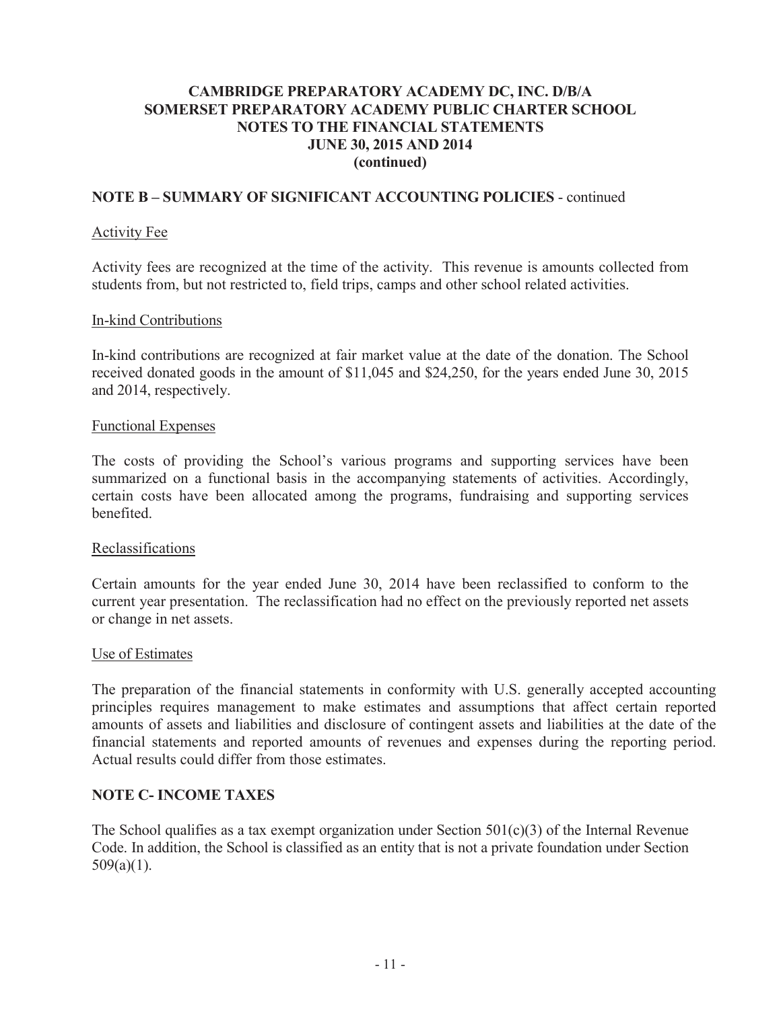# **NOTE B – SUMMARY OF SIGNIFICANT ACCOUNTING POLICIES** - continued

## Activity Fee

Activity fees are recognized at the time of the activity. This revenue is amounts collected from students from, but not restricted to, field trips, camps and other school related activities.

#### In-kind Contributions

In-kind contributions are recognized at fair market value at the date of the donation. The School received donated goods in the amount of \$11,045 and \$24,250, for the years ended June 30, 2015 and 2014, respectively.

#### Functional Expenses

The costs of providing the School's various programs and supporting services have been summarized on a functional basis in the accompanying statements of activities. Accordingly, certain costs have been allocated among the programs, fundraising and supporting services benefited.

#### Reclassifications

Certain amounts for the year ended June 30, 2014 have been reclassified to conform to the current year presentation. The reclassification had no effect on the previously reported net assets or change in net assets.

#### Use of Estimates

The preparation of the financial statements in conformity with U.S. generally accepted accounting principles requires management to make estimates and assumptions that affect certain reported amounts of assets and liabilities and disclosure of contingent assets and liabilities at the date of the financial statements and reported amounts of revenues and expenses during the reporting period. Actual results could differ from those estimates.

## **NOTE C- INCOME TAXES**

The School qualifies as a tax exempt organization under Section  $501(c)(3)$  of the Internal Revenue Code. In addition, the School is classified as an entity that is not a private foundation under Section  $509(a)(1)$ .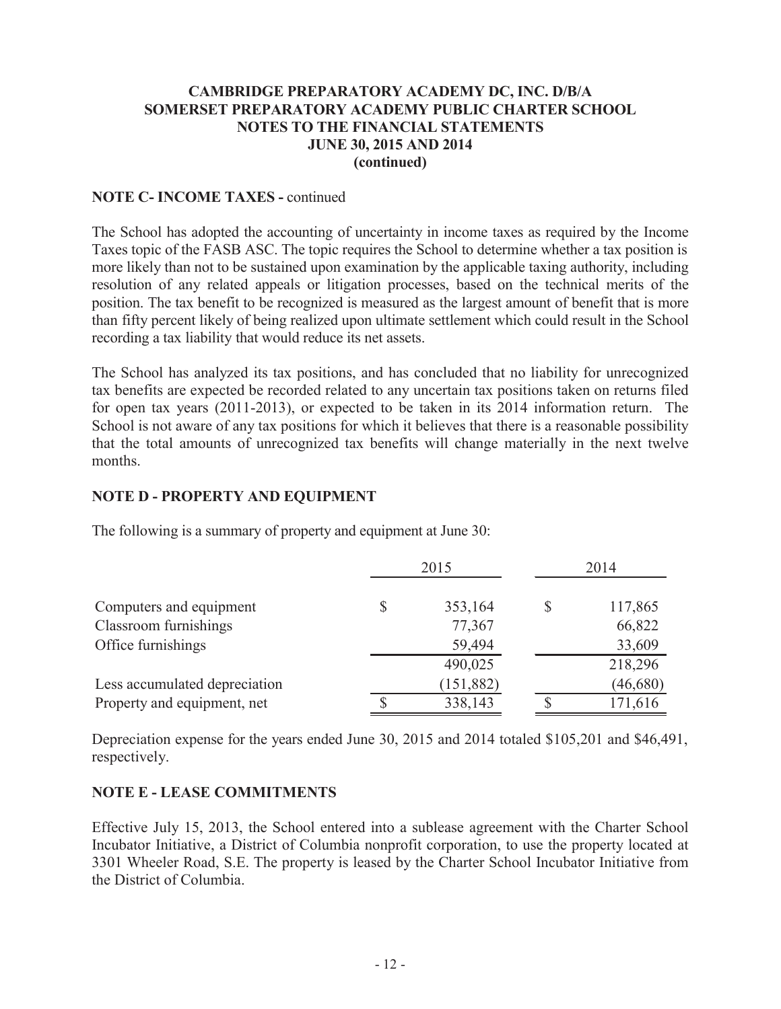# **NOTE C- INCOME TAXES -** continued

The School has adopted the accounting of uncertainty in income taxes as required by the Income Taxes topic of the FASB ASC. The topic requires the School to determine whether a tax position is more likely than not to be sustained upon examination by the applicable taxing authority, including resolution of any related appeals or litigation processes, based on the technical merits of the position. The tax benefit to be recognized is measured as the largest amount of benefit that is more than fifty percent likely of being realized upon ultimate settlement which could result in the School recording a tax liability that would reduce its net assets.

The School has analyzed its tax positions, and has concluded that no liability for unrecognized tax benefits are expected be recorded related to any uncertain tax positions taken on returns filed for open tax years (2011-2013), or expected to be taken in its 2014 information return. The School is not aware of any tax positions for which it believes that there is a reasonable possibility that the total amounts of unrecognized tax benefits will change materially in the next twelve months.

# **NOTE D - PROPERTY AND EQUIPMENT**

|                               | 2015       | 2014     |
|-------------------------------|------------|----------|
| Computers and equipment       | 353,164    | 117,865  |
| Classroom furnishings         | 77,367     | 66,822   |
| Office furnishings            | 59,494     | 33,609   |
|                               | 490,025    | 218,296  |
| Less accumulated depreciation | (151, 882) | (46,680) |
| Property and equipment, net   | 338,143    | 171,616  |

The following is a summary of property and equipment at June 30:

Depreciation expense for the years ended June 30, 2015 and 2014 totaled \$105,201 and \$46,491, respectively.

# **NOTE E - LEASE COMMITMENTS**

Effective July 15, 2013, the School entered into a sublease agreement with the Charter School Incubator Initiative, a District of Columbia nonprofit corporation, to use the property located at 3301 Wheeler Road, S.E. The property is leased by the Charter School Incubator Initiative from the District of Columbia.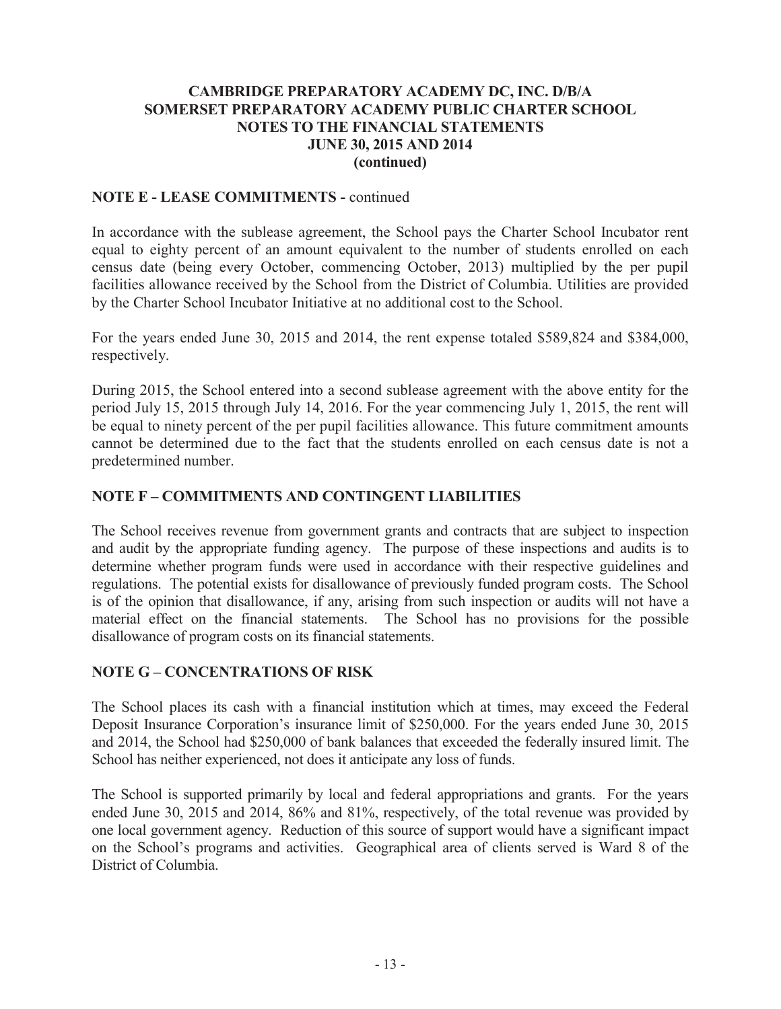# **NOTE E - LEASE COMMITMENTS -** continued

In accordance with the sublease agreement, the School pays the Charter School Incubator rent equal to eighty percent of an amount equivalent to the number of students enrolled on each census date (being every October, commencing October, 2013) multiplied by the per pupil facilities allowance received by the School from the District of Columbia. Utilities are provided by the Charter School Incubator Initiative at no additional cost to the School.

For the years ended June 30, 2015 and 2014, the rent expense totaled \$589,824 and \$384,000, respectively.

During 2015, the School entered into a second sublease agreement with the above entity for the period July 15, 2015 through July 14, 2016. For the year commencing July 1, 2015, the rent will be equal to ninety percent of the per pupil facilities allowance. This future commitment amounts cannot be determined due to the fact that the students enrolled on each census date is not a predetermined number.

# **NOTE F – COMMITMENTS AND CONTINGENT LIABILITIES**

The School receives revenue from government grants and contracts that are subject to inspection and audit by the appropriate funding agency. The purpose of these inspections and audits is to determine whether program funds were used in accordance with their respective guidelines and regulations. The potential exists for disallowance of previously funded program costs. The School is of the opinion that disallowance, if any, arising from such inspection or audits will not have a material effect on the financial statements. The School has no provisions for the possible disallowance of program costs on its financial statements.

## **NOTE G – CONCENTRATIONS OF RISK**

The School places its cash with a financial institution which at times, may exceed the Federal Deposit Insurance Corporation's insurance limit of \$250,000. For the years ended June 30, 2015 and 2014, the School had \$250,000 of bank balances that exceeded the federally insured limit. The School has neither experienced, not does it anticipate any loss of funds.

The School is supported primarily by local and federal appropriations and grants. For the years ended June 30, 2015 and 2014, 86% and 81%, respectively, of the total revenue was provided by one local government agency. Reduction of this source of support would have a significant impact on the School's programs and activities. Geographical area of clients served is Ward 8 of the District of Columbia.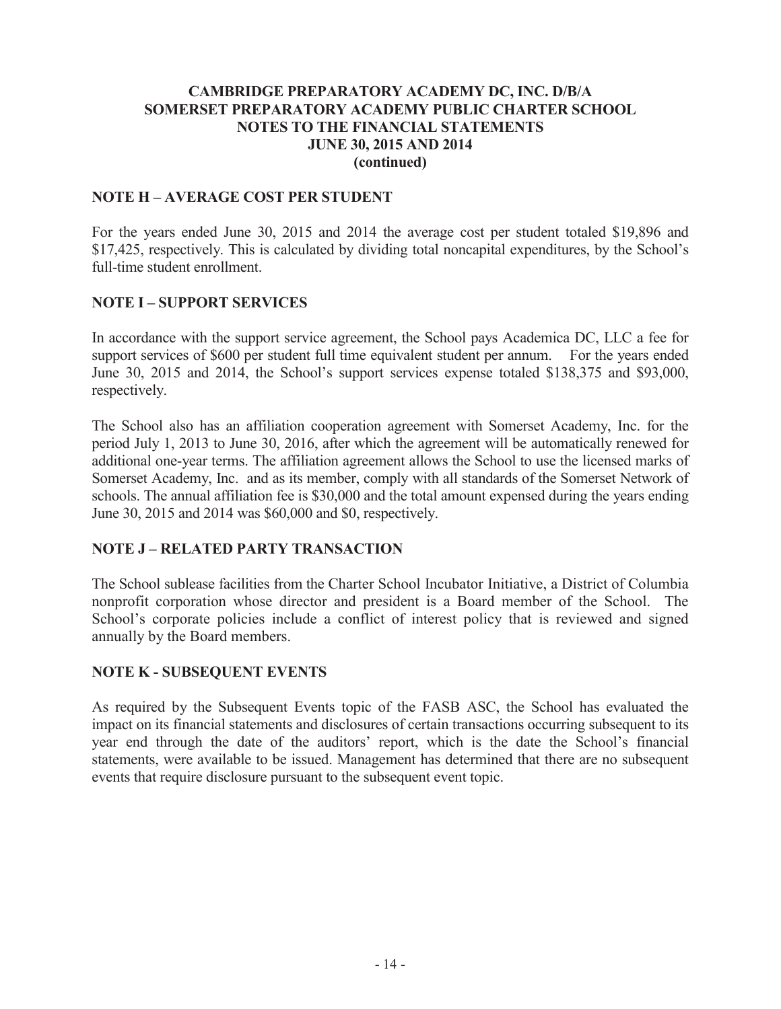# **NOTE H – AVERAGE COST PER STUDENT**

For the years ended June 30, 2015 and 2014 the average cost per student totaled \$19,896 and \$17,425, respectively. This is calculated by dividing total noncapital expenditures, by the School's full-time student enrollment.

# **NOTE I – SUPPORT SERVICES**

In accordance with the support service agreement, the School pays Academica DC, LLC a fee for support services of \$600 per student full time equivalent student per annum. For the years ended June 30, 2015 and 2014, the School's support services expense totaled \$138,375 and \$93,000, respectively.

The School also has an affiliation cooperation agreement with Somerset Academy, Inc. for the period July 1, 2013 to June 30, 2016, after which the agreement will be automatically renewed for additional one-year terms. The affiliation agreement allows the School to use the licensed marks of Somerset Academy, Inc. and as its member, comply with all standards of the Somerset Network of schools. The annual affiliation fee is \$30,000 and the total amount expensed during the years ending June 30, 2015 and 2014 was \$60,000 and \$0, respectively.

# **NOTE J – RELATED PARTY TRANSACTION**

The School sublease facilities from the Charter School Incubator Initiative, a District of Columbia nonprofit corporation whose director and president is a Board member of the School. The School's corporate policies include a conflict of interest policy that is reviewed and signed annually by the Board members.

## **NOTE K - SUBSEQUENT EVENTS**

As required by the Subsequent Events topic of the FASB ASC, the School has evaluated the impact on its financial statements and disclosures of certain transactions occurring subsequent to its year end through the date of the auditors' report, which is the date the School's financial statements, were available to be issued. Management has determined that there are no subsequent events that require disclosure pursuant to the subsequent event topic.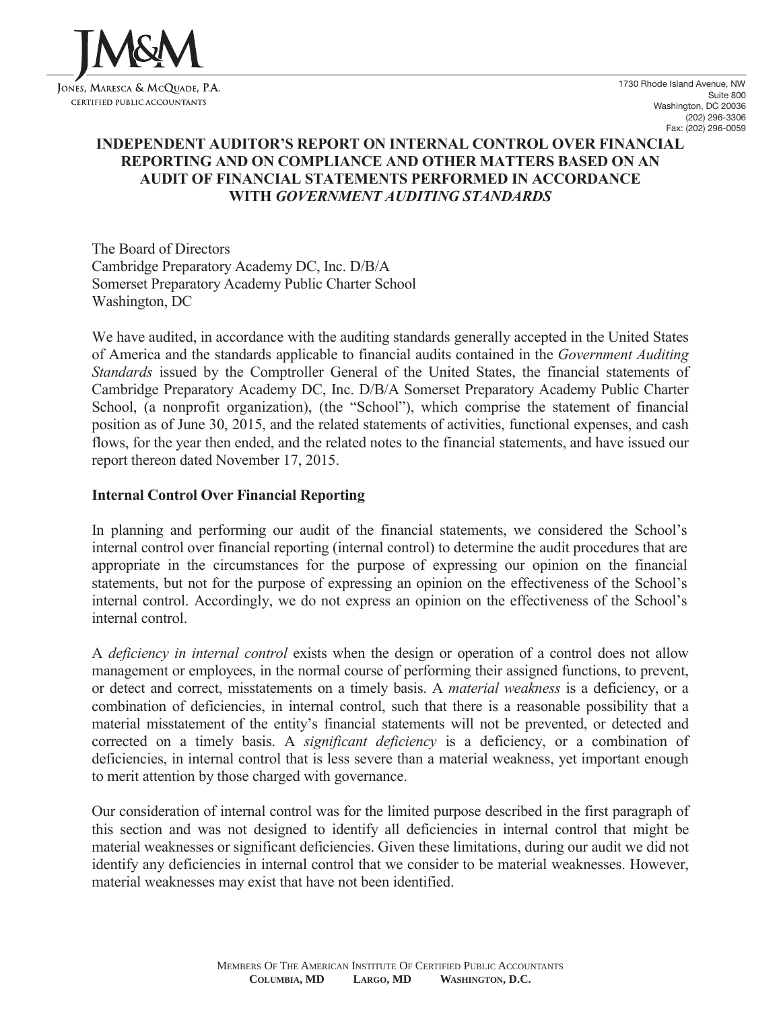

# **INDEPENDENT AUDITOR'S REPORT ON INTERNAL CONTROL OVER FINANCIAL REPORTING AND ON COMPLIANCE AND OTHER MATTERS BASED ON AN AUDIT OF FINANCIAL STATEMENTS PERFORMED IN ACCORDANCE WITH** *GOVERNMENT AUDITING STANDARDS*

The Board of Directors Cambridge Preparatory Academy DC, Inc. D/B/A Somerset Preparatory Academy Public Charter School Washington, DC

We have audited, in accordance with the auditing standards generally accepted in the United States of America and the standards applicable to financial audits contained in the *Government Auditing Standards* issued by the Comptroller General of the United States, the financial statements of Cambridge Preparatory Academy DC, Inc. D/B/A Somerset Preparatory Academy Public Charter School, (a nonprofit organization), (the "School"), which comprise the statement of financial position as of June 30, 2015, and the related statements of activities, functional expenses, and cash flows, for the year then ended, and the related notes to the financial statements, and have issued our report thereon dated November 17, 2015.

# **Internal Control Over Financial Reporting**

In planning and performing our audit of the financial statements, we considered the School's internal control over financial reporting (internal control) to determine the audit procedures that are appropriate in the circumstances for the purpose of expressing our opinion on the financial statements, but not for the purpose of expressing an opinion on the effectiveness of the School's internal control. Accordingly, we do not express an opinion on the effectiveness of the School's internal control.

A *deficiency in internal control* exists when the design or operation of a control does not allow management or employees, in the normal course of performing their assigned functions, to prevent, or detect and correct, misstatements on a timely basis. A *material weakness* is a deficiency, or a combination of deficiencies, in internal control, such that there is a reasonable possibility that a material misstatement of the entity's financial statements will not be prevented, or detected and corrected on a timely basis. A *significant deficiency* is a deficiency, or a combination of deficiencies, in internal control that is less severe than a material weakness, yet important enough to merit attention by those charged with governance.

Our consideration of internal control was for the limited purpose described in the first paragraph of this section and was not designed to identify all deficiencies in internal control that might be material weaknesses or significant deficiencies. Given these limitations, during our audit we did not identify any deficiencies in internal control that we consider to be material weaknesses. However, material weaknesses may exist that have not been identified.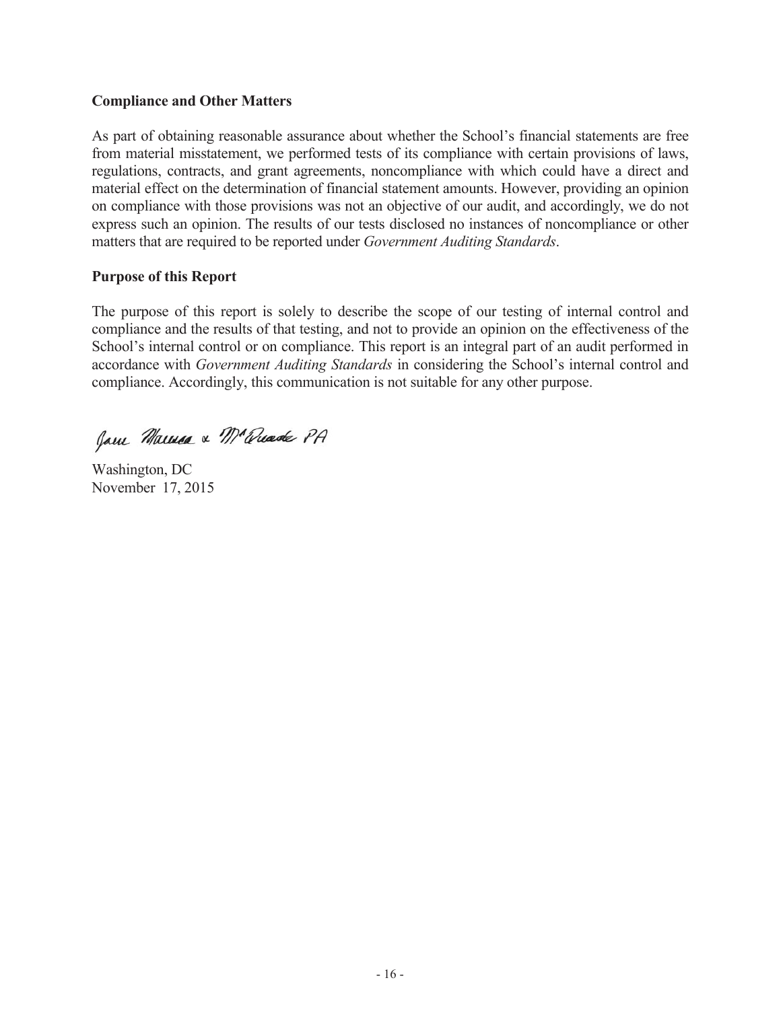# **Compliance and Other Matters**

As part of obtaining reasonable assurance about whether the School's financial statements are free from material misstatement, we performed tests of its compliance with certain provisions of laws, regulations, contracts, and grant agreements, noncompliance with which could have a direct and material effect on the determination of financial statement amounts. However, providing an opinion on compliance with those provisions was not an objective of our audit, and accordingly, we do not express such an opinion. The results of our tests disclosed no instances of noncompliance or other matters that are required to be reported under *Government Auditing Standards*.

## **Purpose of this Report**

The purpose of this report is solely to describe the scope of our testing of internal control and compliance and the results of that testing, and not to provide an opinion on the effectiveness of the School's internal control or on compliance. This report is an integral part of an audit performed in accordance with *Government Auditing Standards* in considering the School's internal control and compliance. Accordingly, this communication is not suitable for any other purpose.

Jam Marina & Mc Quade PA

Washington, DC November 17, 2015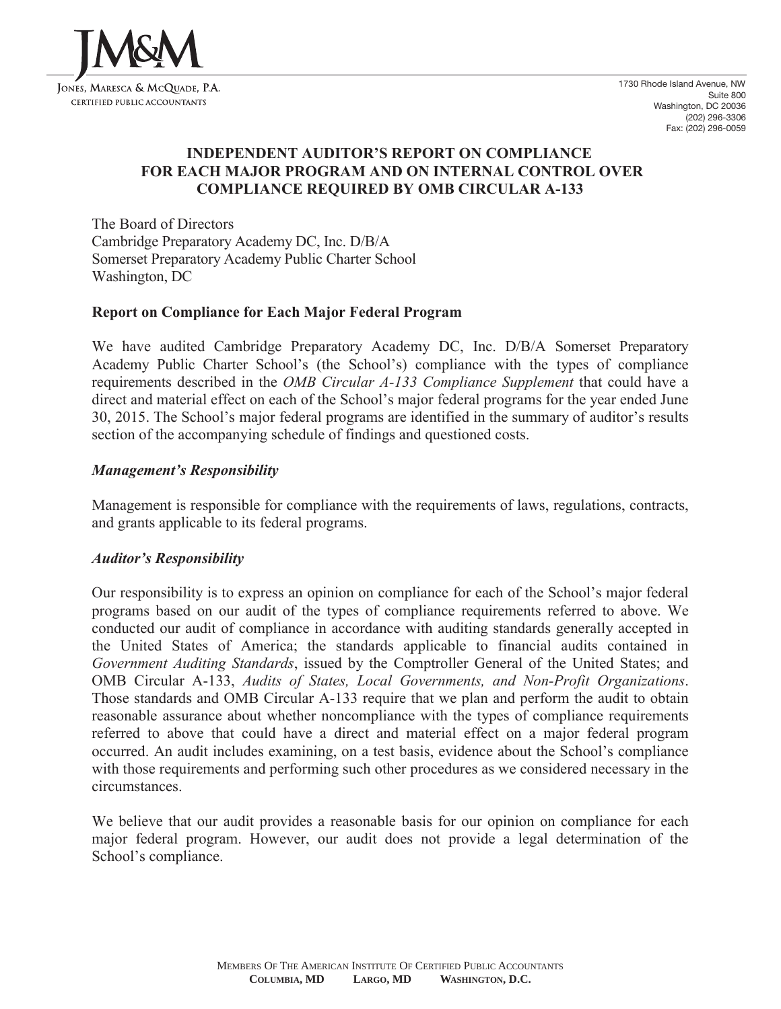

1730 Rhode Island Avenue, NW Suite 800 Washington, DC 20036 (202) 296-3306 Fax: (202) 296-0059

# **INDEPENDENT AUDITOR'S REPORT ON COMPLIANCE FOR EACH MAJOR PROGRAM AND ON INTERNAL CONTROL OVER COMPLIANCE REQUIRED BY OMB CIRCULAR A-133**

The Board of Directors Cambridge Preparatory Academy DC, Inc. D/B/A Somerset Preparatory Academy Public Charter School Washington, DC

# **Report on Compliance for Each Major Federal Program**

We have audited Cambridge Preparatory Academy DC, Inc. D/B/A Somerset Preparatory Academy Public Charter School's (the School's) compliance with the types of compliance requirements described in the *OMB Circular A-133 Compliance Supplement* that could have a direct and material effect on each of the School's major federal programs for the year ended June 30, 2015. The School's major federal programs are identified in the summary of auditor's results section of the accompanying schedule of findings and questioned costs.

## *Management's Responsibility*

Management is responsible for compliance with the requirements of laws, regulations, contracts, and grants applicable to its federal programs.

## *Auditor's Responsibility*

Our responsibility is to express an opinion on compliance for each of the School's major federal programs based on our audit of the types of compliance requirements referred to above. We conducted our audit of compliance in accordance with auditing standards generally accepted in the United States of America; the standards applicable to financial audits contained in *Government Auditing Standards*, issued by the Comptroller General of the United States; and OMB Circular A-133, *Audits of States, Local Governments, and Non-Profit Organizations*. Those standards and OMB Circular A-133 require that we plan and perform the audit to obtain reasonable assurance about whether noncompliance with the types of compliance requirements referred to above that could have a direct and material effect on a major federal program occurred. An audit includes examining, on a test basis, evidence about the School's compliance with those requirements and performing such other procedures as we considered necessary in the circumstances.

We believe that our audit provides a reasonable basis for our opinion on compliance for each major federal program. However, our audit does not provide a legal determination of the School's compliance.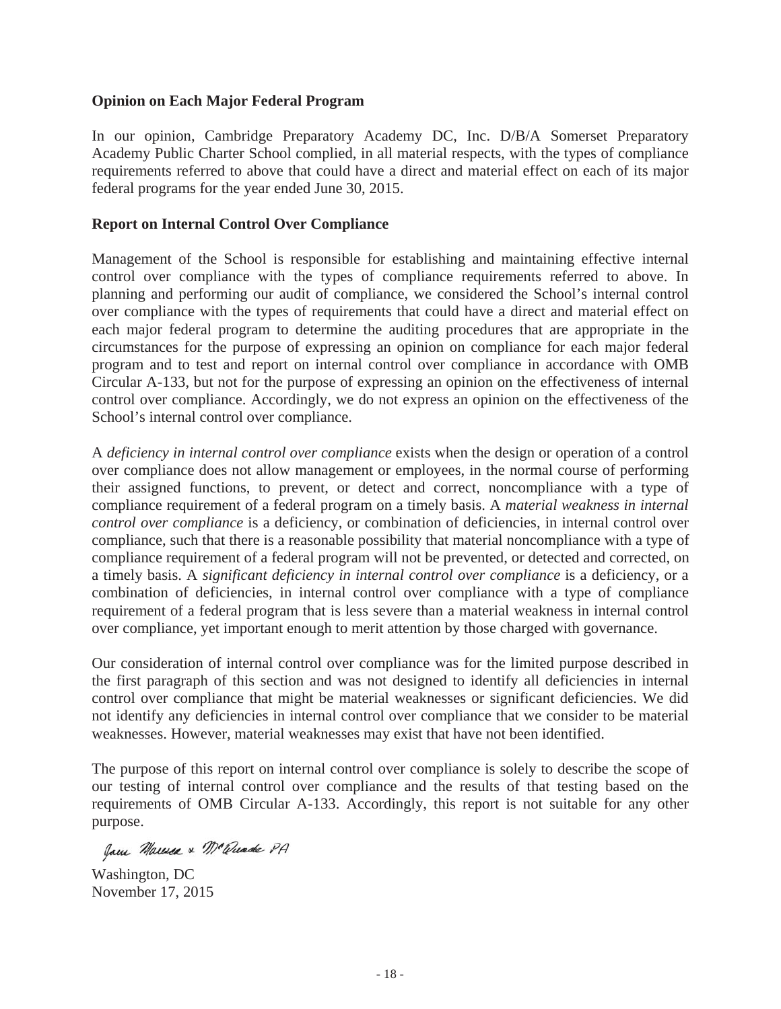## **Opinion on Each Major Federal Program**

In our opinion, Cambridge Preparatory Academy DC, Inc. D/B/A Somerset Preparatory Academy Public Charter School complied, in all material respects, with the types of compliance requirements referred to above that could have a direct and material effect on each of its major federal programs for the year ended June 30, 2015.

#### **Report on Internal Control Over Compliance**

Management of the School is responsible for establishing and maintaining effective internal control over compliance with the types of compliance requirements referred to above. In planning and performing our audit of compliance, we considered the School's internal control over compliance with the types of requirements that could have a direct and material effect on each major federal program to determine the auditing procedures that are appropriate in the circumstances for the purpose of expressing an opinion on compliance for each major federal program and to test and report on internal control over compliance in accordance with OMB Circular A-133, but not for the purpose of expressing an opinion on the effectiveness of internal control over compliance. Accordingly, we do not express an opinion on the effectiveness of the School's internal control over compliance.

A *deficiency in internal control over compliance* exists when the design or operation of a control over compliance does not allow management or employees, in the normal course of performing their assigned functions, to prevent, or detect and correct, noncompliance with a type of compliance requirement of a federal program on a timely basis. A *material weakness in internal control over compliance* is a deficiency, or combination of deficiencies, in internal control over compliance, such that there is a reasonable possibility that material noncompliance with a type of compliance requirement of a federal program will not be prevented, or detected and corrected, on a timely basis. A *significant deficiency in internal control over compliance* is a deficiency, or a combination of deficiencies, in internal control over compliance with a type of compliance requirement of a federal program that is less severe than a material weakness in internal control over compliance, yet important enough to merit attention by those charged with governance.

Our consideration of internal control over compliance was for the limited purpose described in the first paragraph of this section and was not designed to identify all deficiencies in internal control over compliance that might be material weaknesses or significant deficiencies. We did not identify any deficiencies in internal control over compliance that we consider to be material weaknesses. However, material weaknesses may exist that have not been identified.

The purpose of this report on internal control over compliance is solely to describe the scope of our testing of internal control over compliance and the results of that testing based on the requirements of OMB Circular A-133. Accordingly, this report is not suitable for any other purpose.

Jam Marie & Mc Quade PA

Washington, DC November 17, 2015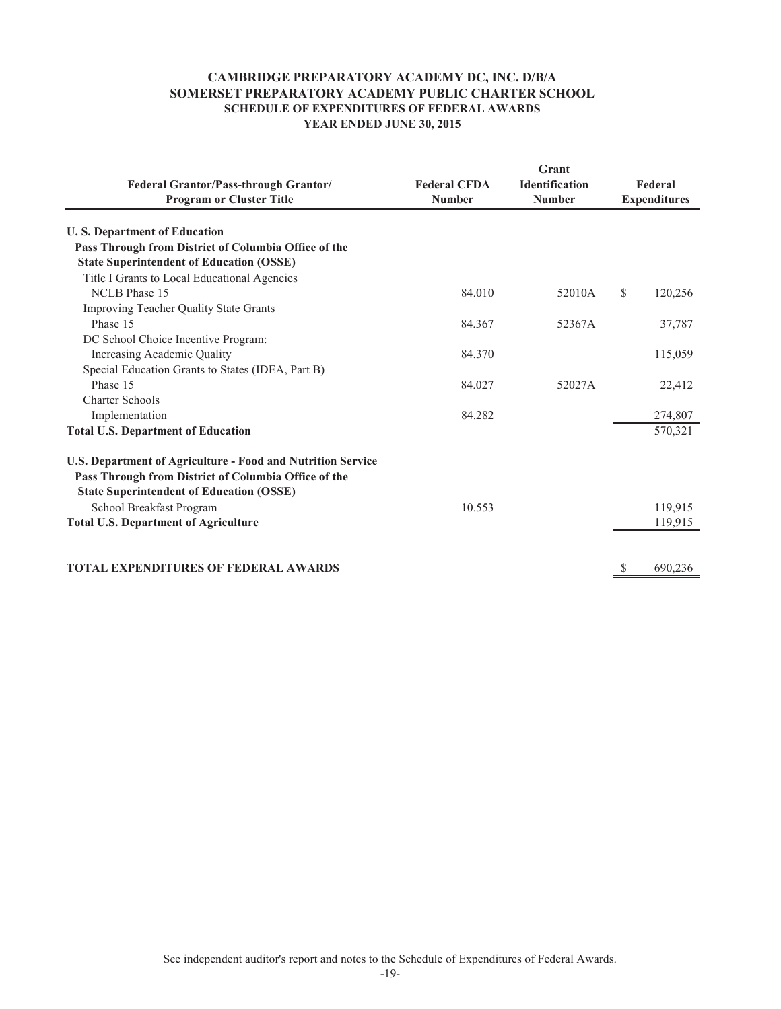#### **SCHEDULE OF EXPENDITURES OF FEDERAL AWARDS YEAR ENDED JUNE 30, 2015 SOMERSET PREPARATORY ACADEMY PUBLIC CHARTER SCHOOL CAMBRIDGE PREPARATORY ACADEMY DC, INC. D/B/A**

| <b>Federal Grantor/Pass-through Grantor/</b><br><b>Program or Cluster Title</b>                                     | <b>Federal CFDA</b><br><b>Number</b> | Grant<br><b>Identification</b><br><b>Number</b> | Federal<br><b>Expenditures</b> |
|---------------------------------------------------------------------------------------------------------------------|--------------------------------------|-------------------------------------------------|--------------------------------|
| <b>U.S. Department of Education</b>                                                                                 |                                      |                                                 |                                |
| Pass Through from District of Columbia Office of the                                                                |                                      |                                                 |                                |
| <b>State Superintendent of Education (OSSE)</b>                                                                     |                                      |                                                 |                                |
| Title I Grants to Local Educational Agencies                                                                        |                                      |                                                 |                                |
| <b>NCLB</b> Phase 15                                                                                                | 84.010                               | 52010A                                          | \$<br>120,256                  |
| <b>Improving Teacher Quality State Grants</b>                                                                       |                                      |                                                 |                                |
| Phase 15                                                                                                            | 84.367                               | 52367A                                          | 37,787                         |
| DC School Choice Incentive Program:                                                                                 |                                      |                                                 |                                |
| Increasing Academic Quality                                                                                         | 84.370                               |                                                 | 115,059                        |
| Special Education Grants to States (IDEA, Part B)                                                                   |                                      |                                                 |                                |
| Phase 15                                                                                                            | 84.027                               | 52027A                                          | 22,412                         |
| <b>Charter Schools</b>                                                                                              |                                      |                                                 |                                |
| Implementation                                                                                                      | 84.282                               |                                                 | 274,807                        |
| <b>Total U.S. Department of Education</b>                                                                           |                                      |                                                 | 570,321                        |
| U.S. Department of Agriculture - Food and Nutrition Service<br>Pass Through from District of Columbia Office of the |                                      |                                                 |                                |
| <b>State Superintendent of Education (OSSE)</b>                                                                     |                                      |                                                 |                                |
| School Breakfast Program                                                                                            | 10.553                               |                                                 | 119,915                        |
| <b>Total U.S. Department of Agriculture</b>                                                                         |                                      |                                                 | 119,915                        |
| <b>TOTAL EXPENDITURES OF FEDERAL AWARDS</b>                                                                         |                                      |                                                 | \$<br>690.236                  |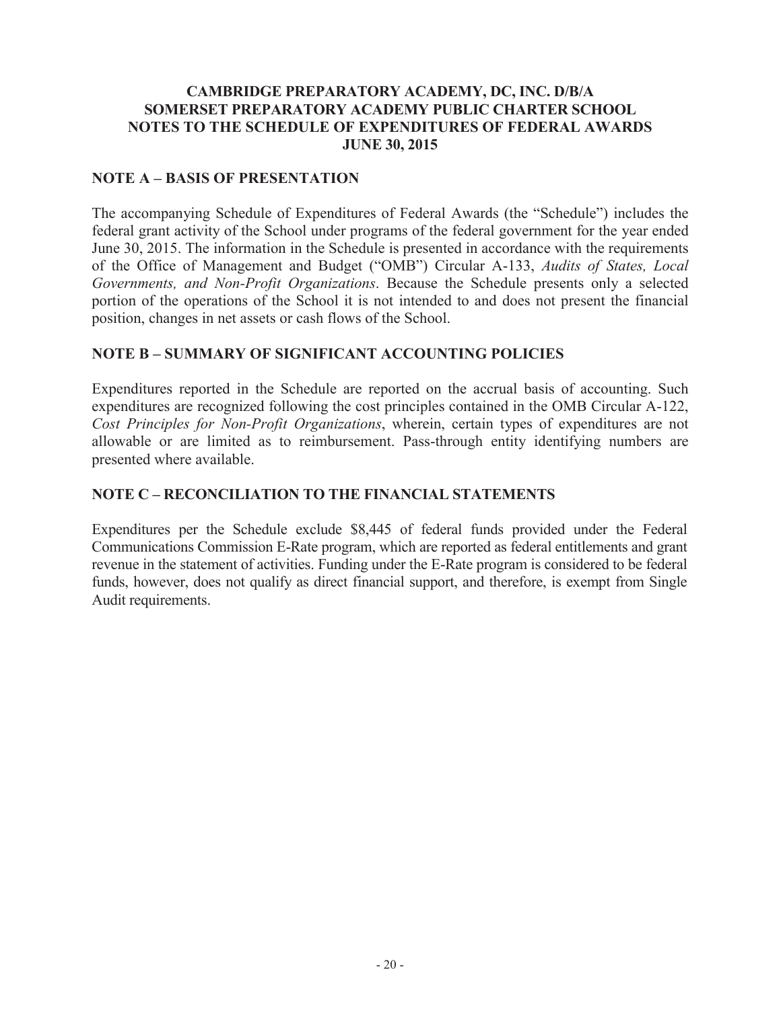# **CAMBRIDGE PREPARATORY ACADEMY, DC, INC. D/B/A SOMERSET PREPARATORY ACADEMY PUBLIC CHARTER SCHOOL NOTES TO THE SCHEDULE OF EXPENDITURES OF FEDERAL AWARDS JUNE 30, 2015**

# **NOTE A – BASIS OF PRESENTATION**

The accompanying Schedule of Expenditures of Federal Awards (the "Schedule") includes the federal grant activity of the School under programs of the federal government for the year ended June 30, 2015. The information in the Schedule is presented in accordance with the requirements of the Office of Management and Budget ("OMB") Circular A-133, *Audits of States, Local Governments, and Non-Profit Organizations*. Because the Schedule presents only a selected portion of the operations of the School it is not intended to and does not present the financial position, changes in net assets or cash flows of the School.

# **NOTE B – SUMMARY OF SIGNIFICANT ACCOUNTING POLICIES**

Expenditures reported in the Schedule are reported on the accrual basis of accounting. Such expenditures are recognized following the cost principles contained in the OMB Circular A-122, *Cost Principles for Non-Profit Organizations*, wherein, certain types of expenditures are not allowable or are limited as to reimbursement. Pass-through entity identifying numbers are presented where available.

# **NOTE C – RECONCILIATION TO THE FINANCIAL STATEMENTS**

Expenditures per the Schedule exclude \$8,445 of federal funds provided under the Federal Communications Commission E-Rate program, which are reported as federal entitlements and grant revenue in the statement of activities. Funding under the E-Rate program is considered to be federal funds, however, does not qualify as direct financial support, and therefore, is exempt from Single Audit requirements.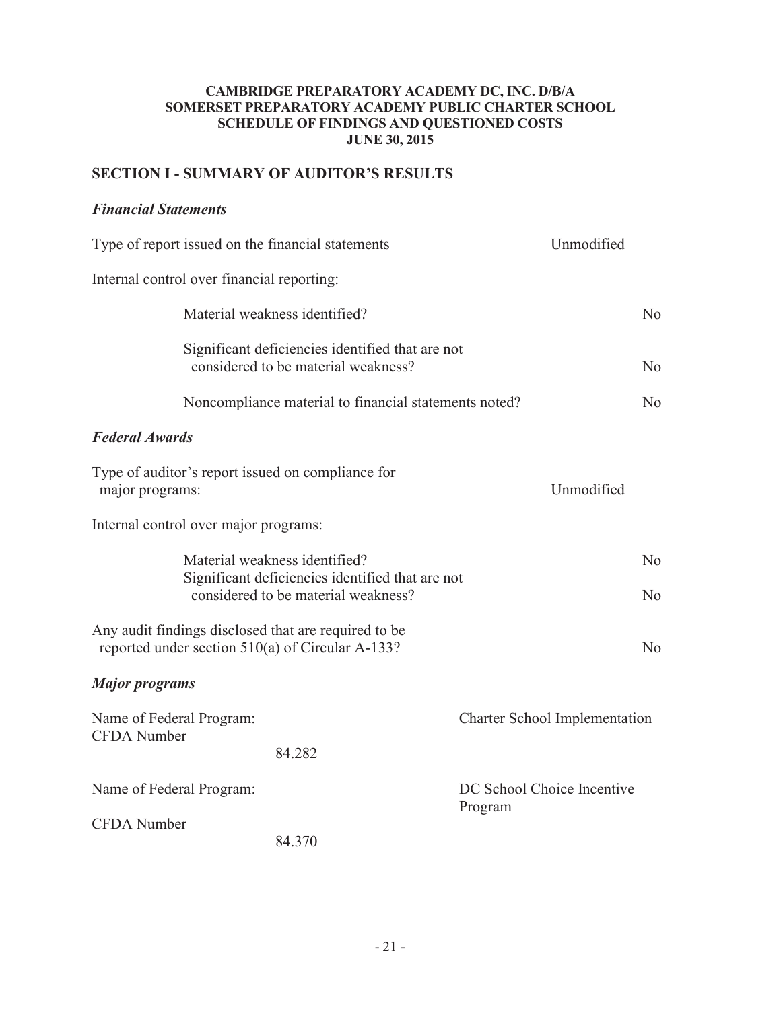#### **CAMBRIDGE PREPARATORY ACADEMY DC, INC. D/B/A SOMERSET PREPARATORY ACADEMY PUBLIC CHARTER SCHOOL SCHEDULE OF FINDINGS AND QUESTIONED COSTS JUNE 30, 2015**

# **SECTION I - SUMMARY OF AUDITOR'S RESULTS**

# *Financial Statements*

| Type of report issued on the financial statements                                                        |                                                                                                                          |         | Unmodified                    |
|----------------------------------------------------------------------------------------------------------|--------------------------------------------------------------------------------------------------------------------------|---------|-------------------------------|
| Internal control over financial reporting:                                                               |                                                                                                                          |         |                               |
|                                                                                                          | Material weakness identified?                                                                                            |         | N <sub>o</sub>                |
|                                                                                                          | Significant deficiencies identified that are not<br>considered to be material weakness?                                  |         | No                            |
|                                                                                                          | Noncompliance material to financial statements noted?                                                                    |         | N <sub>0</sub>                |
| <b>Federal Awards</b>                                                                                    |                                                                                                                          |         |                               |
| Type of auditor's report issued on compliance for<br>major programs:                                     |                                                                                                                          |         | Unmodified                    |
| Internal control over major programs:                                                                    |                                                                                                                          |         |                               |
|                                                                                                          | Material weakness identified?<br>Significant deficiencies identified that are not<br>considered to be material weakness? |         | No<br>No                      |
| Any audit findings disclosed that are required to be<br>reported under section 510(a) of Circular A-133? |                                                                                                                          |         | No                            |
| <b>Major programs</b>                                                                                    |                                                                                                                          |         |                               |
| Name of Federal Program:<br><b>CFDA</b> Number                                                           | 84.282                                                                                                                   |         | Charter School Implementation |
| Name of Federal Program:<br><b>CFDA</b> Number                                                           |                                                                                                                          | Program | DC School Choice Incentive    |
|                                                                                                          | 84.370                                                                                                                   |         |                               |